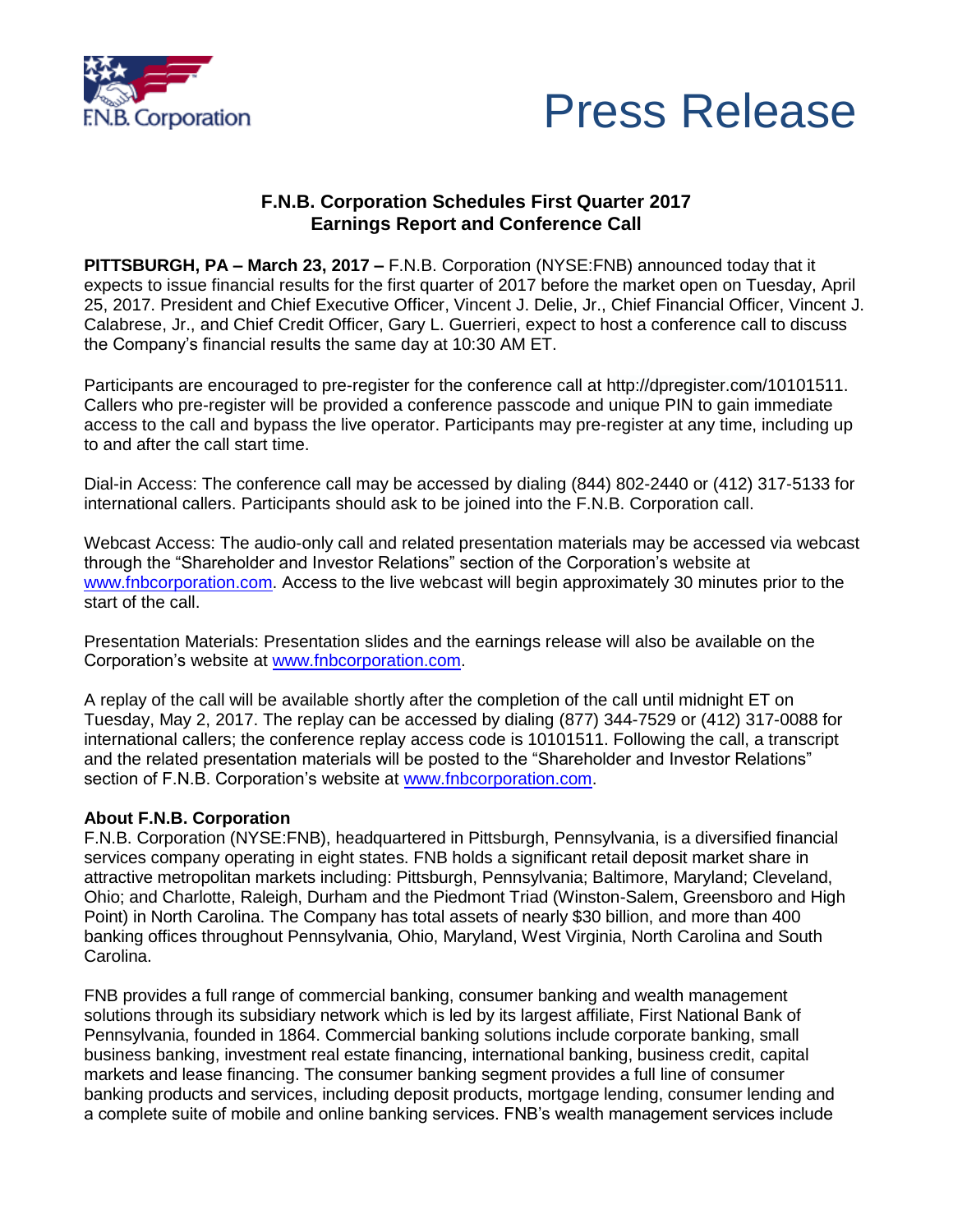



## **F.N.B. Corporation Schedules First Quarter 2017 Earnings Report and Conference Call**

**PITTSBURGH, PA – March 23, 2017 –** F.N.B. Corporation (NYSE:FNB) announced today that it expects to issue financial results for the first quarter of 2017 before the market open on Tuesday, April 25, 2017. President and Chief Executive Officer, Vincent J. Delie, Jr., Chief Financial Officer, Vincent J. Calabrese, Jr., and Chief Credit Officer, Gary L. Guerrieri, expect to host a conference call to discuss the Company's financial results the same day at 10:30 AM ET.

Participants are encouraged to pre-register for the conference call at http://dpregister.com/10101511. Callers who pre-register will be provided a conference passcode and unique PIN to gain immediate access to the call and bypass the live operator. Participants may pre-register at any time, including up to and after the call start time.

Dial-in Access: The conference call may be accessed by dialing (844) 802-2440 or (412) 317-5133 for international callers. Participants should ask to be joined into the F.N.B. Corporation call.

Webcast Access: The audio-only call and related presentation materials may be accessed via webcast through the "Shareholder and Investor Relations" section of the Corporation's website at [www.fnbcorporation.com.](http://www.fnbcorporation.com/) Access to the live webcast will begin approximately 30 minutes prior to the start of the call.

Presentation Materials: Presentation slides and the earnings release will also be available on the Corporation's website at [www.fnbcorporation.com.](http://www.fnbcorporation.com/)

A replay of the call will be available shortly after the completion of the call until midnight ET on Tuesday, May 2, 2017. The replay can be accessed by dialing (877) 344-7529 or (412) 317-0088 for international callers; the conference replay access code is 10101511. Following the call, a transcript and the related presentation materials will be posted to the "Shareholder and Investor Relations" section of F.N.B. Corporation's website at [www.fnbcorporation.com.](http://www.fnbcorporation.com/)

## **About F.N.B. Corporation**

F.N.B. Corporation (NYSE:FNB), headquartered in Pittsburgh, Pennsylvania, is a diversified financial services company operating in eight states. FNB holds a significant retail deposit market share in attractive metropolitan markets including: Pittsburgh, Pennsylvania; Baltimore, Maryland; Cleveland, Ohio; and Charlotte, Raleigh, Durham and the Piedmont Triad (Winston-Salem, Greensboro and High Point) in North Carolina. The Company has total assets of nearly \$30 billion, and more than 400 banking offices throughout Pennsylvania, Ohio, Maryland, West Virginia, North Carolina and South Carolina.

FNB provides a full range of commercial banking, consumer banking and wealth management solutions through its subsidiary network which is led by its largest affiliate, First National Bank of Pennsylvania, founded in 1864. Commercial banking solutions include corporate banking, small business banking, investment real estate financing, international banking, business credit, capital markets and lease financing. The consumer banking segment provides a full line of consumer banking products and services, including deposit products, mortgage lending, consumer lending and a complete suite of mobile and online banking services. FNB's wealth management services include